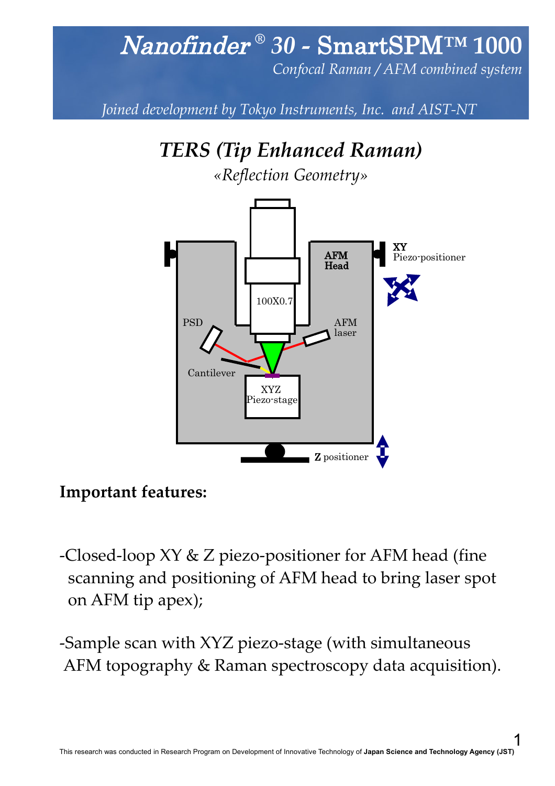## Nanofinder *® 30 -* SmartSPM*™* **1000**

*Confocal Raman / AFM combined system*

*Joined development by Tokyo Instruments, Inc. and AIST-NT* 



#### **Important features:**

- -Closed-loop XY & Z piezo-positioner for AFM head (fine scanning and positioning of AFM head to bring laser spot on AFM tip apex);
- -Sample scan with XYZ piezo-stage (with simultaneous AFM topography & Raman spectroscopy data acquisition).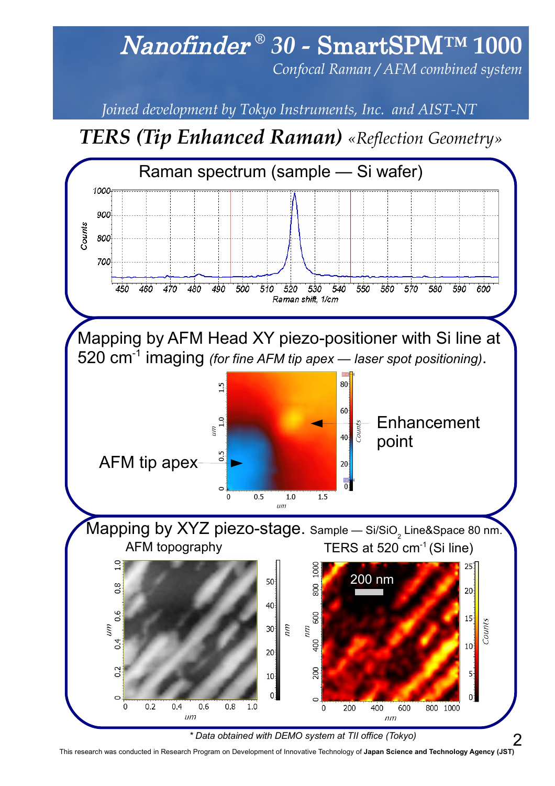## Nanofinder *® 30 -* SmartSPM*™* **1000**

*Confocal Raman / AFM combined system*

*Joined development by Tokyo Instruments, Inc. and AIST-NT* 

### *TERS (Tip Enhanced Raman) «Reflection Geometry»*



This research was conducted in Research Program on Development of Innovative Technology of **Japan Science and Technology Agency (JST)**